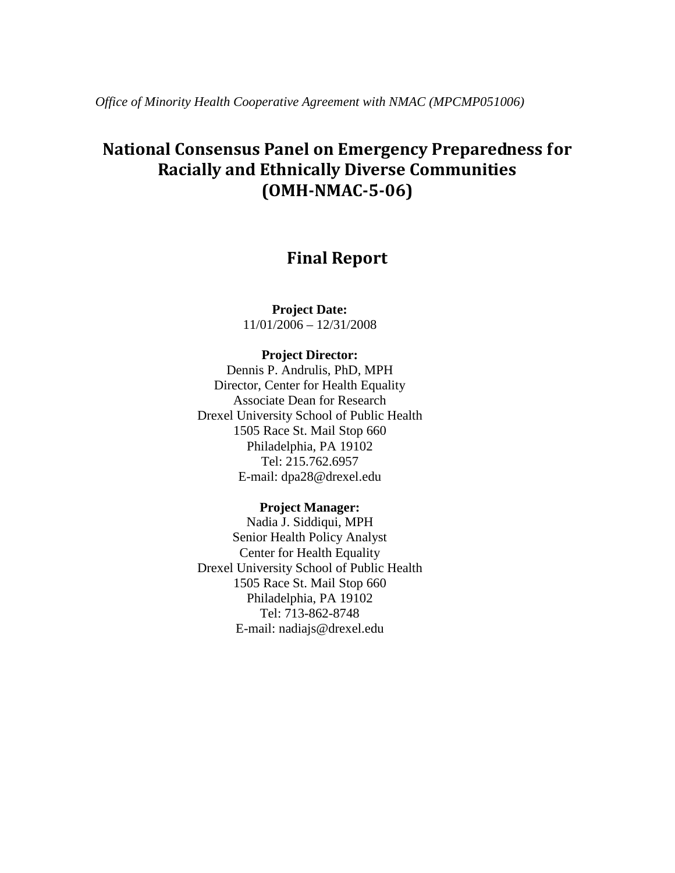*Office of Minority Health Cooperative Agreement with NMAC (MPCMP051006)* 

# **National Consensus Panel on Emergency Preparedness for Racially and Ethnically Diverse Communities (OMH-NMAC-5-06)**

## **Final Report**

**Project Date:**  11/01/2006 – 12/31/2008

### **Project Director:**

Dennis P. Andrulis, PhD, MPH Director, Center for Health Equality Associate Dean for Research Drexel University School of Public Health 1505 Race St. Mail Stop 660 Philadelphia, PA 19102 Tel: 215.762.6957 E-mail: dpa28@drexel.edu

#### **Project Manager:**

Nadia J. Siddiqui, MPH Senior Health Policy Analyst Center for Health Equality Drexel University School of Public Health 1505 Race St. Mail Stop 660 Philadelphia, PA 19102 Tel: 713-862-8748 E-mail: nadiajs@drexel.edu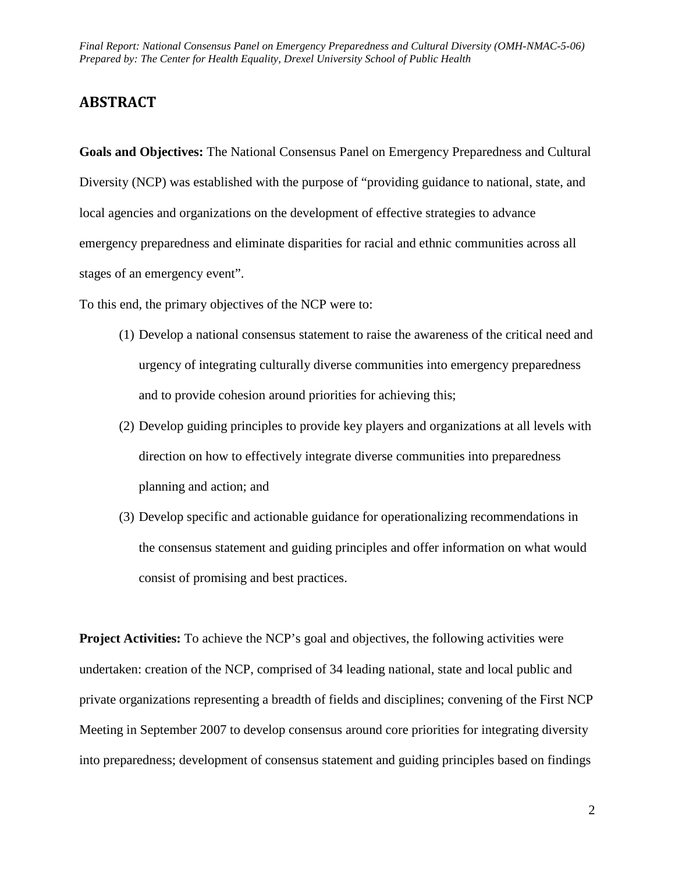## **ABSTRACT**

 **Goals and Objectives:** The National Consensus Panel on Emergency Preparedness and Cultural Diversity (NCP) was established with the purpose of "providing guidance to national, state, and local agencies and organizations on the development of effective strategies to advance emergency preparedness and eliminate disparities for racial and ethnic communities across all stages of an emergency event".

To this end, the primary objectives of the NCP were to:

- and to provide cohesion around priorities for achieving this;  $(1)$  Develop a national consensus statement to raise the awareness of the critical need and urgency of integrating culturally diverse communities into emergency preparedness
- (2) Develop guiding principles to provide key players and organizations at all levels with direction on how to effectively integrate diverse communities into preparedness planning and action; and
- (3) Develop specific and actionable guidance for operationalizing recommendations in the consensus statement and guiding principles and offer information on what would consist of promising and best practices.

**Project Activities:** To achieve the NCP's goal and objectives, the following activities were undertaken: creation of the NCP, comprised of 34 leading national, state and local public and private organizations representing a breadth of fields and disciplines; convening of the First NCP Meeting in September 2007 to develop consensus around core priorities for integrating diversity into preparedness; development of consensus statement and guiding principles based on findings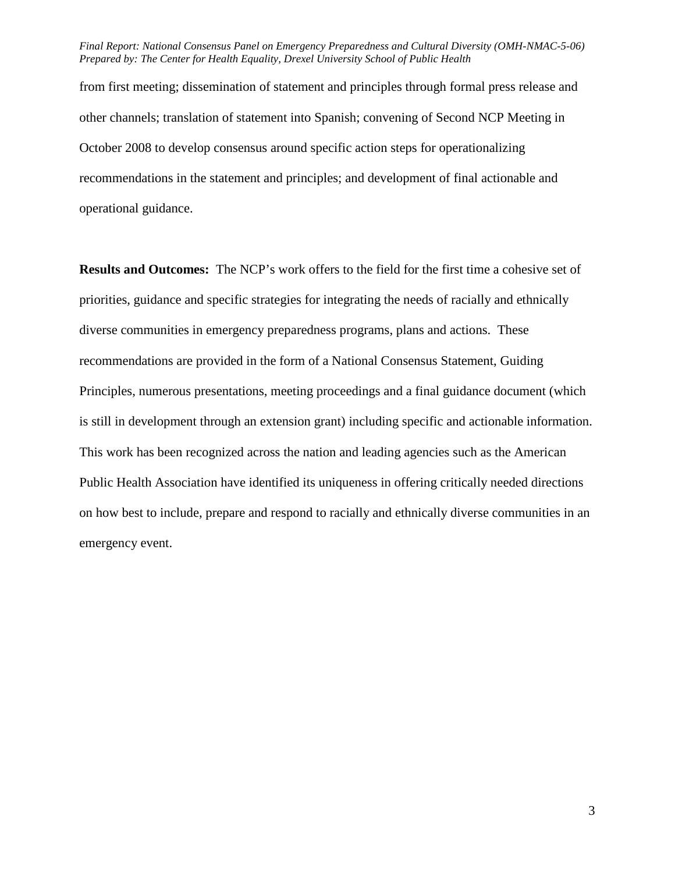from first meeting; dissemination of statement and principles through formal press release and other channels; translation of statement into Spanish; convening of Second NCP Meeting in October 2008 to develop consensus around specific action steps for operationalizing recommendations in the statement and principles; and development of final actionable and operational guidance.

**Results and Outcomes:** The NCP's work offers to the field for the first time a cohesive set of priorities, guidance and specific strategies for integrating the needs of racially and ethnically diverse communities in emergency preparedness programs, plans and actions. These recommendations are provided in the form of a National Consensus Statement, Guiding Principles, numerous presentations, meeting proceedings and a final guidance document (which is still in development through an extension grant) including specific and actionable information. This work has been recognized across the nation and leading agencies such as the American Public Health Association have identified its uniqueness in offering critically needed directions on how best to include, prepare and respond to racially and ethnically diverse communities in an emergency event.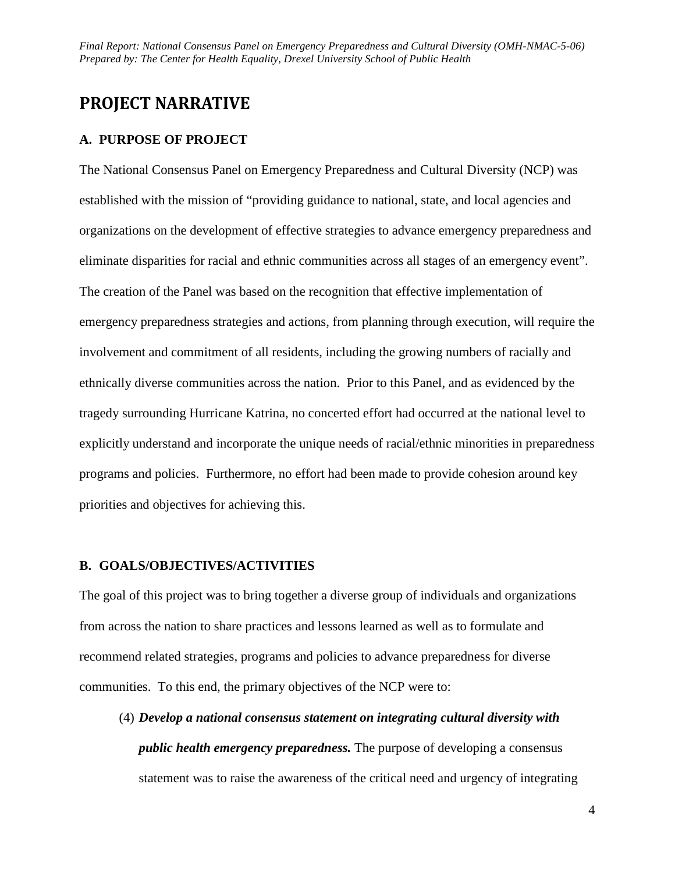## **PROJECT NARRATIVE**

## **A. PURPOSE OF PROJECT**

The National Consensus Panel on Emergency Preparedness and Cultural Diversity (NCP) was established with the mission of "providing guidance to national, state, and local agencies and organizations on the development of effective strategies to advance emergency preparedness and eliminate disparities for racial and ethnic communities across all stages of an emergency event". The creation of the Panel was based on the recognition that effective implementation of emergency preparedness strategies and actions, from planning through execution, will require the involvement and commitment of all residents, including the growing numbers of racially and ethnically diverse communities across the nation. Prior to this Panel, and as evidenced by the tragedy surrounding Hurricane Katrina, no concerted effort had occurred at the national level to explicitly understand and incorporate the unique needs of racial/ethnic minorities in preparedness programs and policies. Furthermore, no effort had been made to provide cohesion around key priorities and objectives for achieving this.

## **B. GOALS/OBJECTIVES/ACTIVITIES**

The goal of this project was to bring together a diverse group of individuals and organizations from across the nation to share practices and lessons learned as well as to formulate and recommend related strategies, programs and policies to advance preparedness for diverse communities. To this end, the primary objectives of the NCP were to:

 (4) *Develop a national consensus statement on integrating cultural diversity with public health emergency preparedness.* The purpose of developing a consensus statement was to raise the awareness of the critical need and urgency of integrating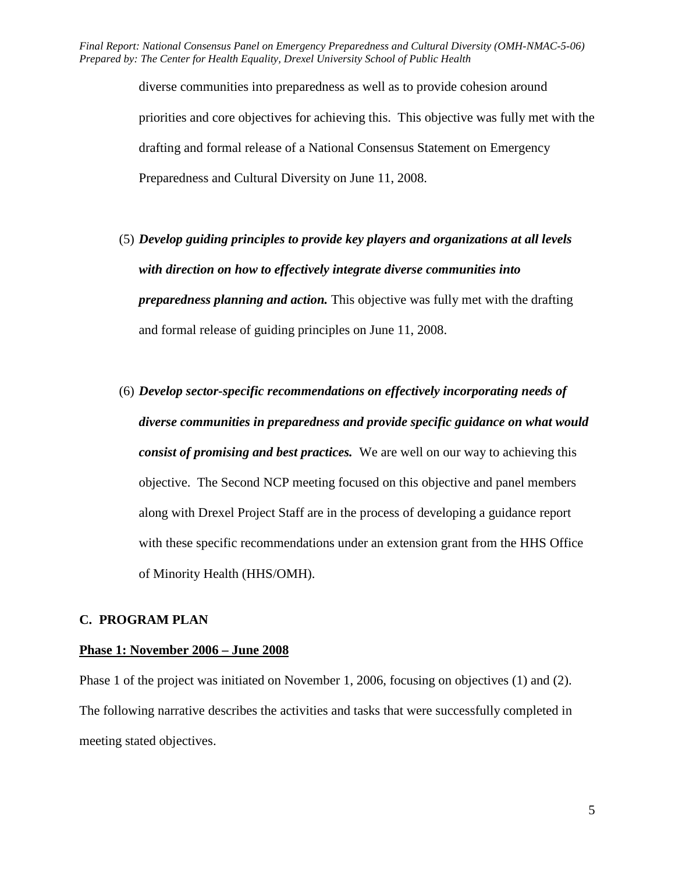> diverse communities into preparedness as well as to provide cohesion around priorities and core objectives for achieving this. This objective was fully met with the drafting and formal release of a National Consensus Statement on Emergency Preparedness and Cultural Diversity on June 11, 2008.

- (5) *Develop guiding principles to provide key players and organizations at all levels with direction on how to effectively integrate diverse communities into preparedness planning and action.* This objective was fully met with the drafting and formal release of guiding principles on June 11, 2008.
- (6) *Develop sector-specific recommendations on effectively incorporating needs of diverse communities in preparedness and provide specific guidance on what would consist of promising and best practices.* We are well on our way to achieving this objective. The Second NCP meeting focused on this objective and panel members along with Drexel Project Staff are in the process of developing a guidance report with these specific recommendations under an extension grant from the HHS Office of Minority Health (HHS/OMH).

## **C. PROGRAM PLAN**

## **Phase 1: November 2006 – June 2008**

Phase 1 of the project was initiated on November 1, 2006, focusing on objectives (1) and (2). The following narrative describes the activities and tasks that were successfully completed in meeting stated objectives.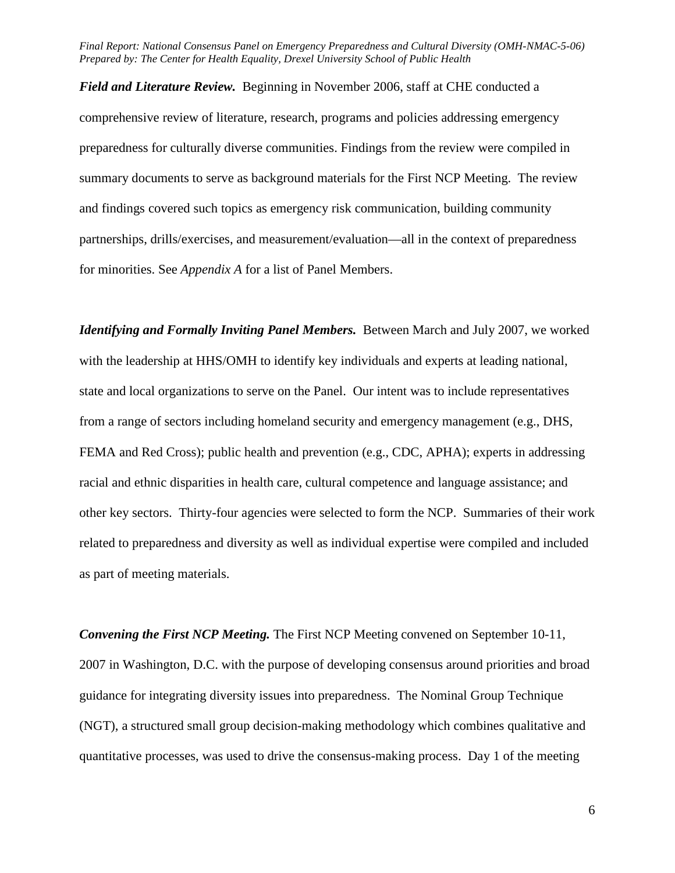preparedness for culturally diverse communities. Findings from the review were compiled in *Field and Literature Review.* Beginning in November 2006, staff at CHE conducted a comprehensive review of literature, research, programs and policies addressing emergency summary documents to serve as background materials for the First NCP Meeting. The review and findings covered such topics as emergency risk communication, building community partnerships, drills/exercises, and measurement/evaluation—all in the context of preparedness for minorities. See *Appendix A* for a list of Panel Members.

*Identifying and Formally Inviting Panel Members.* Between March and July 2007, we worked with the leadership at HHS/OMH to identify key individuals and experts at leading national, state and local organizations to serve on the Panel. Our intent was to include representatives from a range of sectors including homeland security and emergency management (e.g., DHS, FEMA and Red Cross); public health and prevention (e.g., CDC, APHA); experts in addressing racial and ethnic disparities in health care, cultural competence and language assistance; and other key sectors. Thirty-four agencies were selected to form the NCP. Summaries of their work related to preparedness and diversity as well as individual expertise were compiled and included as part of meeting materials.

*Convening the First NCP Meeting.* The First NCP Meeting convened on September 10-11, 2007 in Washington, D.C. with the purpose of developing consensus around priorities and broad guidance for integrating diversity issues into preparedness. The Nominal Group Technique (NGT), a structured small group decision-making methodology which combines qualitative and quantitative processes, was used to drive the consensus-making process. Day 1 of the meeting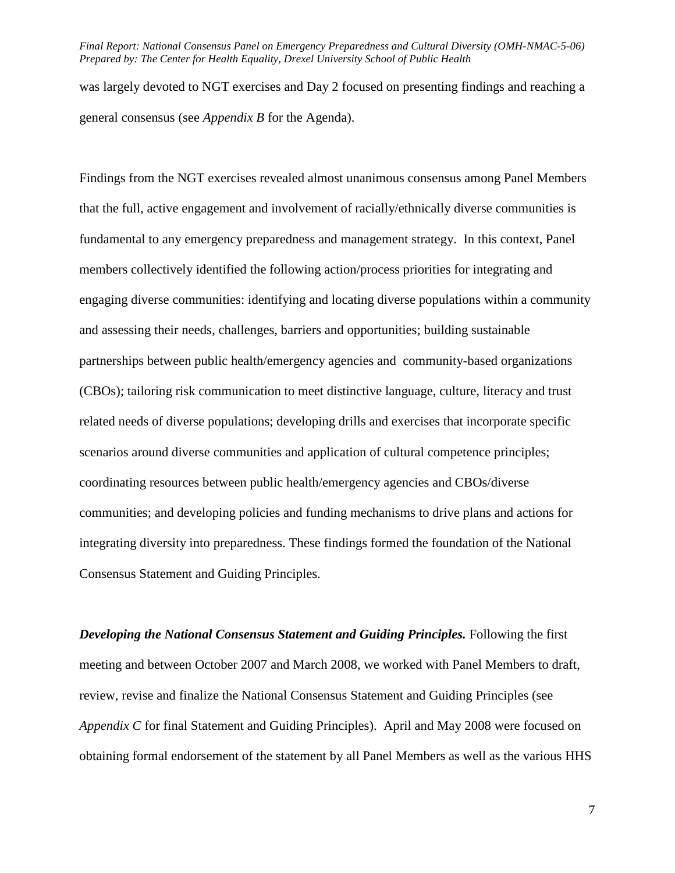was largely devoted to NGT exercises and Day 2 focused on presenting findings and reaching a general consensus (see *Appendix B* for the Agenda).

Findings from the NGT exercises revealed almost unanimous consensus among Panel Members that the full, active engagement and involvement of racially/ethnically diverse communities is fundamental to any emergency preparedness and management strategy. In this context, Panel members collectively identified the following action/process priorities for integrating and engaging diverse communities: identifying and locating diverse populations within a community and assessing their needs, challenges, barriers and opportunities; building sustainable partnerships between public health/emergency agencies and community-based organizations (CBOs); tailoring risk communication to meet distinctive language, culture, literacy and trust related needs of diverse populations; developing drills and exercises that incorporate specific scenarios around diverse communities and application of cultural competence principles; coordinating resources between public health/emergency agencies and CBOs/diverse communities; and developing policies and funding mechanisms to drive plans and actions for integrating diversity into preparedness. These findings formed the foundation of the National Consensus Statement and Guiding Principles.

*Developing the National Consensus Statement and Guiding Principles.* **Following the first** meeting and between October 2007 and March 2008, we worked with Panel Members to draft, review, revise and finalize the National Consensus Statement and Guiding Principles (see *Appendix C* for final Statement and Guiding Principles). April and May 2008 were focused on obtaining formal endorsement of the statement by all Panel Members as well as the various HHS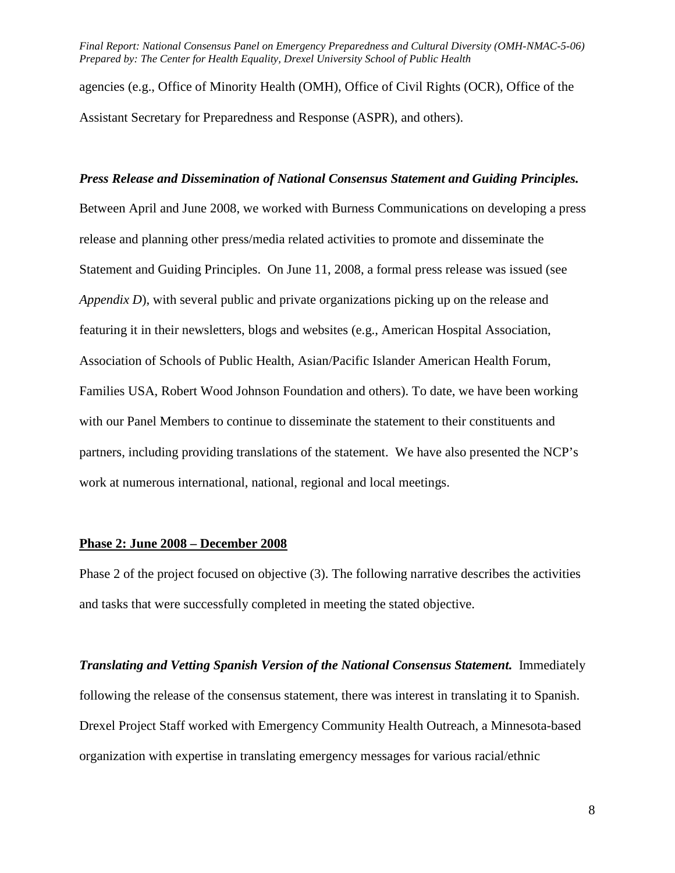agencies (e.g., Office of Minority Health (OMH), Office of Civil Rights (OCR), Office of the Assistant Secretary for Preparedness and Response (ASPR), and others).

#### *Press Release and Dissemination of National Consensus Statement and Guiding Principles.*

 Between April and June 2008, we worked with Burness Communications on developing a press partners, including providing translations of the statement. We have also presented the NCP's release and planning other press/media related activities to promote and disseminate the Statement and Guiding Principles. On June 11, 2008, a formal press release was issued (see *Appendix D*), with several public and private organizations picking up on the release and featuring it in their newsletters, blogs and websites (e.g., American Hospital Association, Association of Schools of Public Health, Asian/Pacific Islander American Health Forum, Families USA, Robert Wood Johnson Foundation and others). To date, we have been working with our Panel Members to continue to disseminate the statement to their constituents and work at numerous international, national, regional and local meetings.

### **Phase 2: June 2008 – December 2008**

Phase 2 of the project focused on objective (3). The following narrative describes the activities and tasks that were successfully completed in meeting the stated objective.

**Translating and Vetting Spanish Version of the National Consensus Statement.** Immediately following the release of the consensus statement, there was interest in translating it to Spanish. Drexel Project Staff worked with Emergency Community Health Outreach, a Minnesota-based organization with expertise in translating emergency messages for various racial/ethnic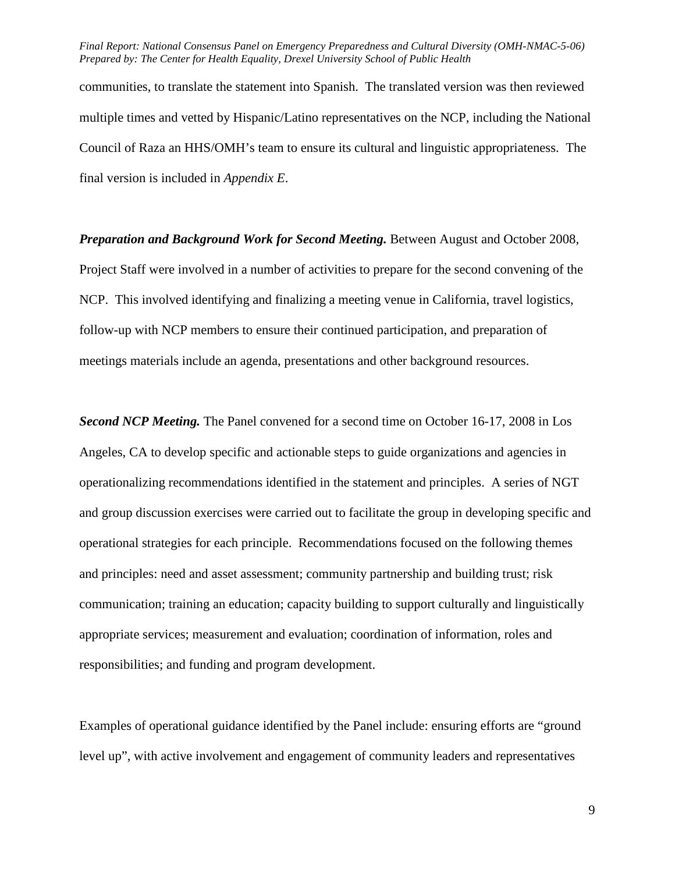Council of Raza an HHS/OMH's team to ensure its cultural and linguistic appropriateness. The communities, to translate the statement into Spanish. The translated version was then reviewed multiple times and vetted by Hispanic/Latino representatives on the NCP, including the National final version is included in *Appendix E*.

*Preparation and Background Work for Second Meeting.* Between August and October 2008, Project Staff were involved in a number of activities to prepare for the second convening of the NCP. This involved identifying and finalizing a meeting venue in California, travel logistics, follow-up with NCP members to ensure their continued participation, and preparation of meetings materials include an agenda, presentations and other background resources.

 *Second NCP Meeting.* The Panel convened for a second time on October 16-17, 2008 in Los Angeles, CA to develop specific and actionable steps to guide organizations and agencies in operationalizing recommendations identified in the statement and principles. A series of NGT and group discussion exercises were carried out to facilitate the group in developing specific and operational strategies for each principle. Recommendations focused on the following themes and principles: need and asset assessment; community partnership and building trust; risk communication; training an education; capacity building to support culturally and linguistically appropriate services; measurement and evaluation; coordination of information, roles and responsibilities; and funding and program development.

Examples of operational guidance identified by the Panel include: ensuring efforts are "ground level up", with active involvement and engagement of community leaders and representatives

9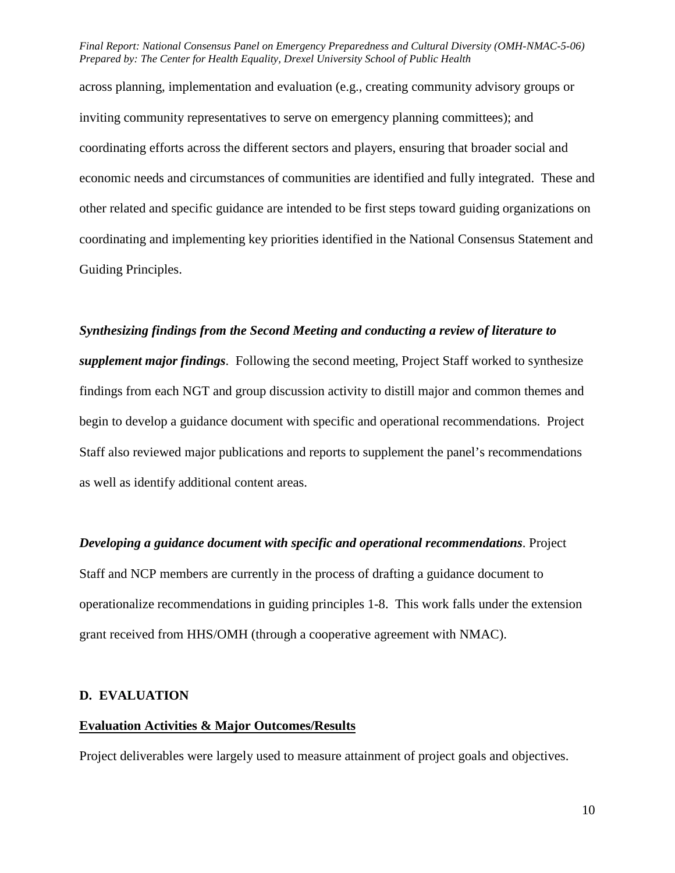across planning, implementation and evaluation (e.g., creating community advisory groups or inviting community representatives to serve on emergency planning committees); and coordinating efforts across the different sectors and players, ensuring that broader social and economic needs and circumstances of communities are identified and fully integrated. These and other related and specific guidance are intended to be first steps toward guiding organizations on coordinating and implementing key priorities identified in the National Consensus Statement and Guiding Principles.

#### *Synthesizing findings from the Second Meeting and conducting a review of literature to*

 findings from each NGT and group discussion activity to distill major and common themes and *supplement major findings*. Following the second meeting, Project Staff worked to synthesize begin to develop a guidance document with specific and operational recommendations. Project Staff also reviewed major publications and reports to supplement the panel's recommendations as well as identify additional content areas.

*Developing a guidance document with specific and operational recommendations*. Project Staff and NCP members are currently in the process of drafting a guidance document to operationalize recommendations in guiding principles 1-8. This work falls under the extension grant received from HHS/OMH (through a cooperative agreement with NMAC).

#### **D. EVALUATION**

#### **Evaluation Activities & Major Outcomes/Results**

Project deliverables were largely used to measure attainment of project goals and objectives.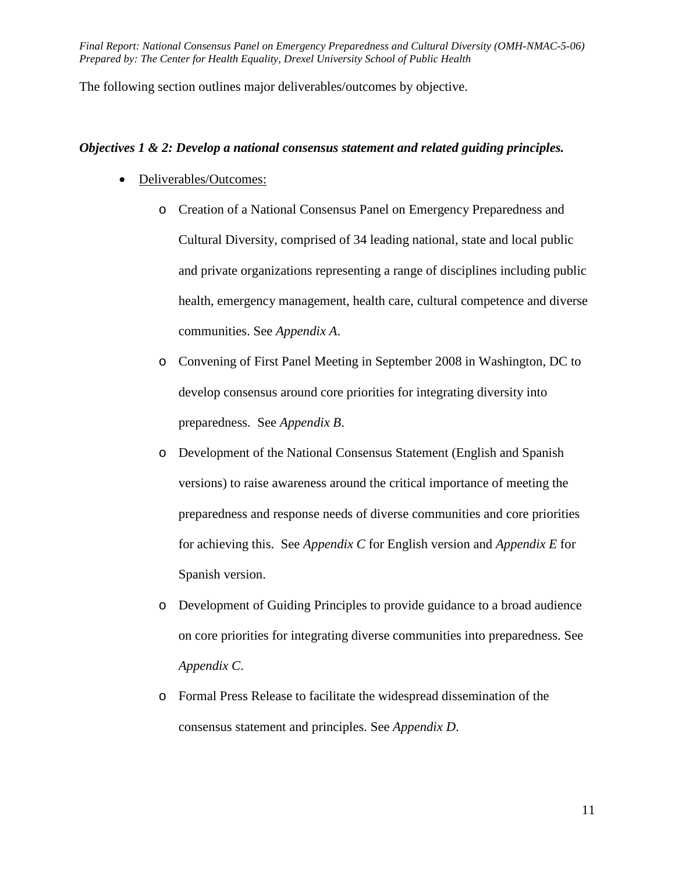The following section outlines major deliverables/outcomes by objective.

#### *Objectives 1 & 2: Develop a national consensus statement and related guiding principles.*

- Deliverables/Outcomes:
	- o Creation of a National Consensus Panel on Emergency Preparedness and Cultural Diversity, comprised of 34 leading national, state and local public and private organizations representing a range of disciplines including public health, emergency management, health care, cultural competence and diverse communities. See *Appendix A*.
	- preparedness. See *Appendix B*. o Convening of First Panel Meeting in September 2008 in Washington, DC to develop consensus around core priorities for integrating diversity into
	- versions) to raise awareness around the critical importance of meeting the o Development of the National Consensus Statement (English and Spanish preparedness and response needs of diverse communities and core priorities for achieving this. See *Appendix C* for English version and *Appendix E* for Spanish version.
	- o Development of Guiding Principles to provide guidance to a broad audience on core priorities for integrating diverse communities into preparedness. See *Appendix C*.
	- o Formal Press Release to facilitate the widespread dissemination of the consensus statement and principles. See *Appendix D*.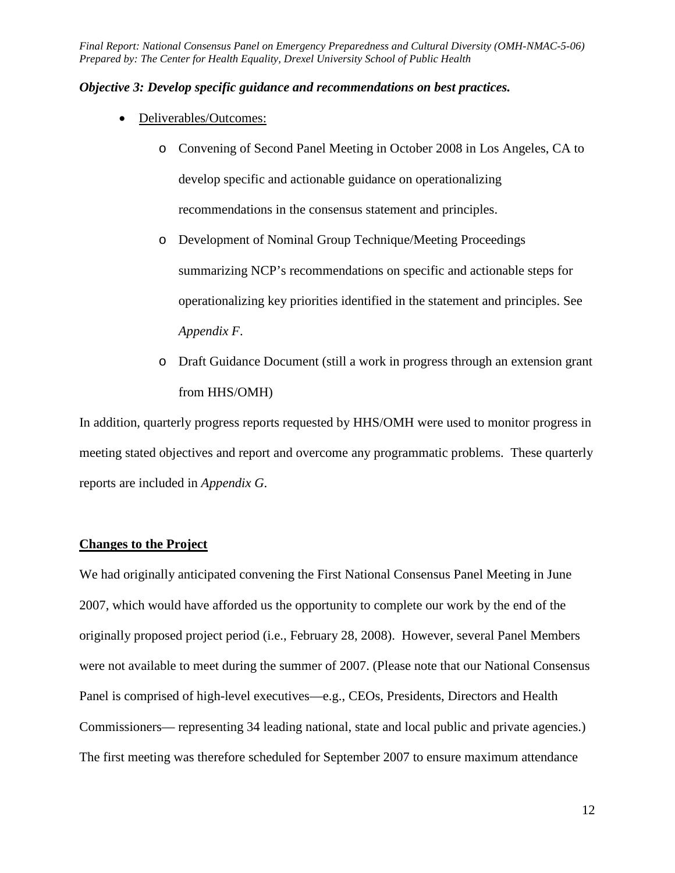#### *Objective 3: Develop specific guidance and recommendations on best practices.*

- Deliverables/Outcomes:
	- o Convening of Second Panel Meeting in October 2008 in Los Angeles, CA to develop specific and actionable guidance on operationalizing recommendations in the consensus statement and principles.
	- o Development of Nominal Group Technique/Meeting Proceedings summarizing NCP's recommendations on specific and actionable steps for operationalizing key priorities identified in the statement and principles. See *Appendix F*.
	- o Draft Guidance Document (still a work in progress through an extension grant from HHS/OMH)

In addition, quarterly progress reports requested by HHS/OMH were used to monitor progress in meeting stated objectives and report and overcome any programmatic problems. These quarterly reports are included in *Appendix G*.

#### **Changes to the Project**

 We had originally anticipated convening the First National Consensus Panel Meeting in June 2007, which would have afforded us the opportunity to complete our work by the end of the Commissioners— representing 34 leading national, state and local public and private agencies.) originally proposed project period (i.e., February 28, 2008). However, several Panel Members were not available to meet during the summer of 2007. (Please note that our National Consensus Panel is comprised of high-level executives—e.g., CEOs, Presidents, Directors and Health The first meeting was therefore scheduled for September 2007 to ensure maximum attendance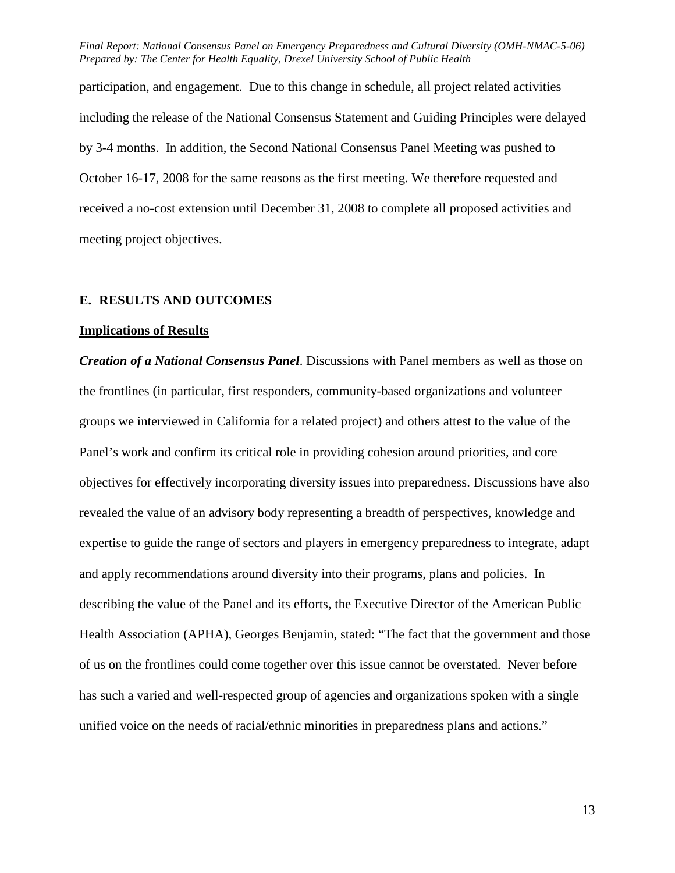participation, and engagement. Due to this change in schedule, all project related activities including the release of the National Consensus Statement and Guiding Principles were delayed by 3-4 months. In addition, the Second National Consensus Panel Meeting was pushed to October 16-17, 2008 for the same reasons as the first meeting. We therefore requested and received a no-cost extension until December 31, 2008 to complete all proposed activities and meeting project objectives.

### **E. RESULTS AND OUTCOMES**

#### **Implications of Results**

 expertise to guide the range of sectors and players in emergency preparedness to integrate, adapt Health Association (APHA), Georges Benjamin, stated: "The fact that the government and those unified voice on the needs of racial/ethnic minorities in preparedness plans and actions." 13 *Creation of a National Consensus Panel*. Discussions with Panel members as well as those on the frontlines (in particular, first responders, community-based organizations and volunteer groups we interviewed in California for a related project) and others attest to the value of the Panel's work and confirm its critical role in providing cohesion around priorities, and core objectives for effectively incorporating diversity issues into preparedness. Discussions have also revealed the value of an advisory body representing a breadth of perspectives, knowledge and and apply recommendations around diversity into their programs, plans and policies. In describing the value of the Panel and its efforts, the Executive Director of the American Public of us on the frontlines could come together over this issue cannot be overstated. Never before has such a varied and well-respected group of agencies and organizations spoken with a single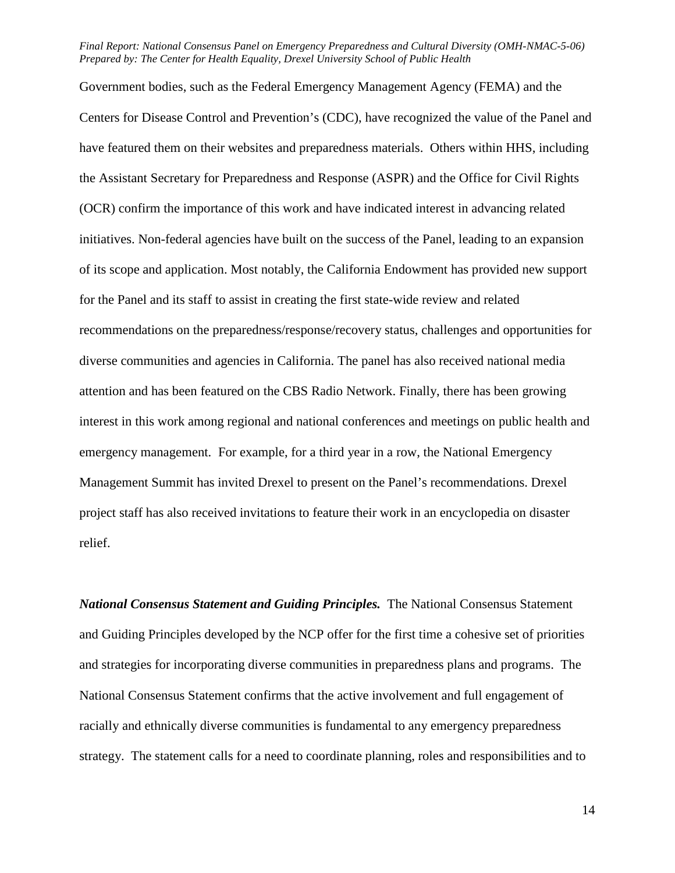Government bodies, such as the Federal Emergency Management Agency (FEMA) and the emergency management. For example, for a third year in a row, the National Emergency Centers for Disease Control and Prevention's (CDC), have recognized the value of the Panel and have featured them on their websites and preparedness materials. Others within HHS, including the Assistant Secretary for Preparedness and Response (ASPR) and the Office for Civil Rights (OCR) confirm the importance of this work and have indicated interest in advancing related initiatives. Non-federal agencies have built on the success of the Panel, leading to an expansion of its scope and application. Most notably, the California Endowment has provided new support for the Panel and its staff to assist in creating the first state-wide review and related recommendations on the preparedness/response/recovery status, challenges and opportunities for diverse communities and agencies in California. The panel has also received national media attention and has been featured on the CBS Radio Network. Finally, there has been growing interest in this work among regional and national conferences and meetings on public health and Management Summit has invited Drexel to present on the Panel's recommendations. Drexel project staff has also received invitations to feature their work in an encyclopedia on disaster relief.

*National Consensus Statement and Guiding Principles.* The National Consensus Statement and Guiding Principles developed by the NCP offer for the first time a cohesive set of priorities and strategies for incorporating diverse communities in preparedness plans and programs. The National Consensus Statement confirms that the active involvement and full engagement of racially and ethnically diverse communities is fundamental to any emergency preparedness strategy. The statement calls for a need to coordinate planning, roles and responsibilities and to

14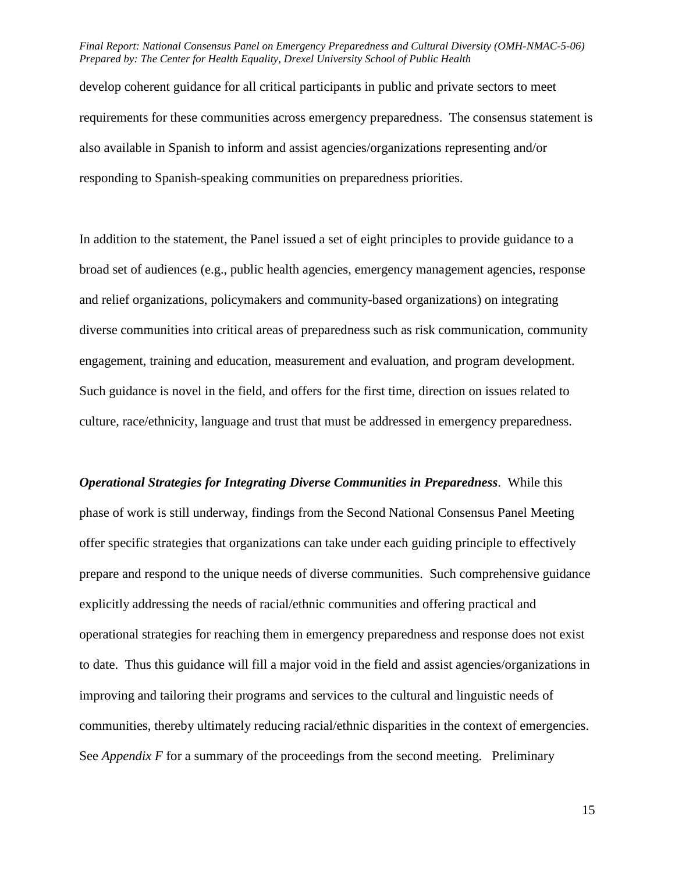develop coherent guidance for all critical participants in public and private sectors to meet requirements for these communities across emergency preparedness. The consensus statement is also available in Spanish to inform and assist agencies/organizations representing and/or responding to Spanish-speaking communities on preparedness priorities.

In addition to the statement, the Panel issued a set of eight principles to provide guidance to a broad set of audiences (e.g., public health agencies, emergency management agencies, response and relief organizations, policymakers and community-based organizations) on integrating diverse communities into critical areas of preparedness such as risk communication, community engagement, training and education, measurement and evaluation, and program development. Such guidance is novel in the field, and offers for the first time, direction on issues related to culture, race/ethnicity, language and trust that must be addressed in emergency preparedness.

 prepare and respond to the unique needs of diverse communities. Such comprehensive guidance *Operational Strategies for Integrating Diverse Communities in Preparedness*. While this phase of work is still underway, findings from the Second National Consensus Panel Meeting offer specific strategies that organizations can take under each guiding principle to effectively explicitly addressing the needs of racial/ethnic communities and offering practical and operational strategies for reaching them in emergency preparedness and response does not exist to date. Thus this guidance will fill a major void in the field and assist agencies/organizations in improving and tailoring their programs and services to the cultural and linguistic needs of communities, thereby ultimately reducing racial/ethnic disparities in the context of emergencies. See *Appendix F* for a summary of the proceedings from the second meeting. Preliminary

15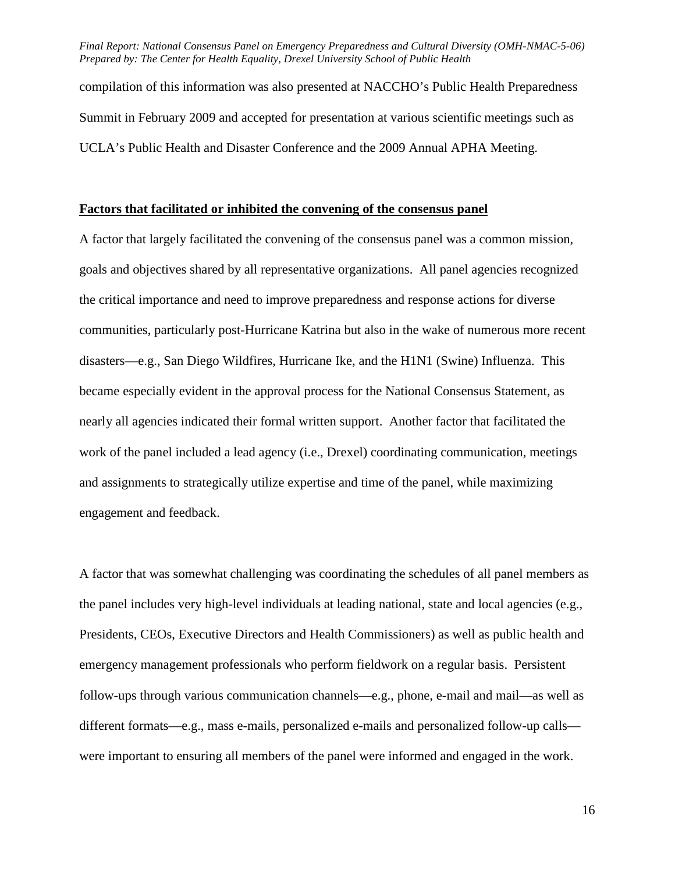compilation of this information was also presented at NACCHO's Public Health Preparedness Summit in February 2009 and accepted for presentation at various scientific meetings such as UCLA's Public Health and Disaster Conference and the 2009 Annual APHA Meeting.

## **Factors that facilitated or inhibited the convening of the consensus panel**

A factor that largely facilitated the convening of the consensus panel was a common mission, goals and objectives shared by all representative organizations. All panel agencies recognized the critical importance and need to improve preparedness and response actions for diverse communities, particularly post-Hurricane Katrina but also in the wake of numerous more recent disasters—e.g., San Diego Wildfires, Hurricane Ike, and the H1N1 (Swine) Influenza. This became especially evident in the approval process for the National Consensus Statement, as nearly all agencies indicated their formal written support. Another factor that facilitated the work of the panel included a lead agency (i.e., Drexel) coordinating communication, meetings and assignments to strategically utilize expertise and time of the panel, while maximizing engagement and feedback.

 A factor that was somewhat challenging was coordinating the schedules of all panel members as the panel includes very high-level individuals at leading national, state and local agencies (e.g., Presidents, CEOs, Executive Directors and Health Commissioners) as well as public health and emergency management professionals who perform fieldwork on a regular basis. Persistent follow-ups through various communication channels—e.g., phone, e-mail and mail—as well as different formats—e.g., mass e-mails, personalized e-mails and personalized follow-up calls were important to ensuring all members of the panel were informed and engaged in the work.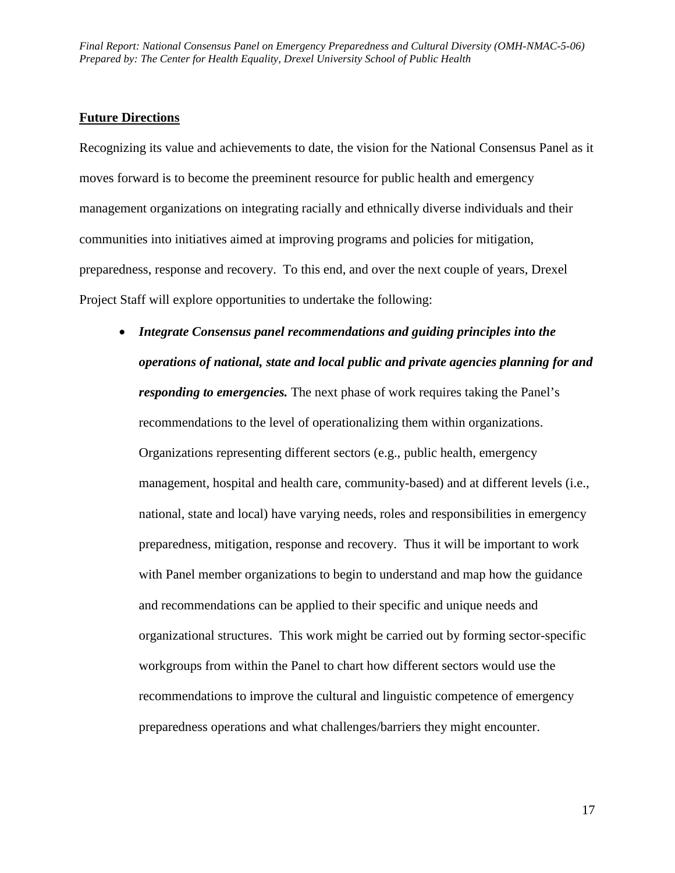### **Future Directions**

Recognizing its value and achievements to date, the vision for the National Consensus Panel as it moves forward is to become the preeminent resource for public health and emergency management organizations on integrating racially and ethnically diverse individuals and their communities into initiatives aimed at improving programs and policies for mitigation, preparedness, response and recovery. To this end, and over the next couple of years, Drexel Project Staff will explore opportunities to undertake the following:

• *Integrate Consensus panel recommendations and guiding principles into the operations of national, state and local public and private agencies planning for and responding to emergencies.* The next phase of work requires taking the Panel's recommendations to the level of operationalizing them within organizations. Organizations representing different sectors (e.g., public health, emergency management, hospital and health care, community-based) and at different levels (i.e., national, state and local) have varying needs, roles and responsibilities in emergency preparedness, mitigation, response and recovery. Thus it will be important to work with Panel member organizations to begin to understand and map how the guidance and recommendations can be applied to their specific and unique needs and organizational structures. This work might be carried out by forming sector-specific workgroups from within the Panel to chart how different sectors would use the recommendations to improve the cultural and linguistic competence of emergency preparedness operations and what challenges/barriers they might encounter.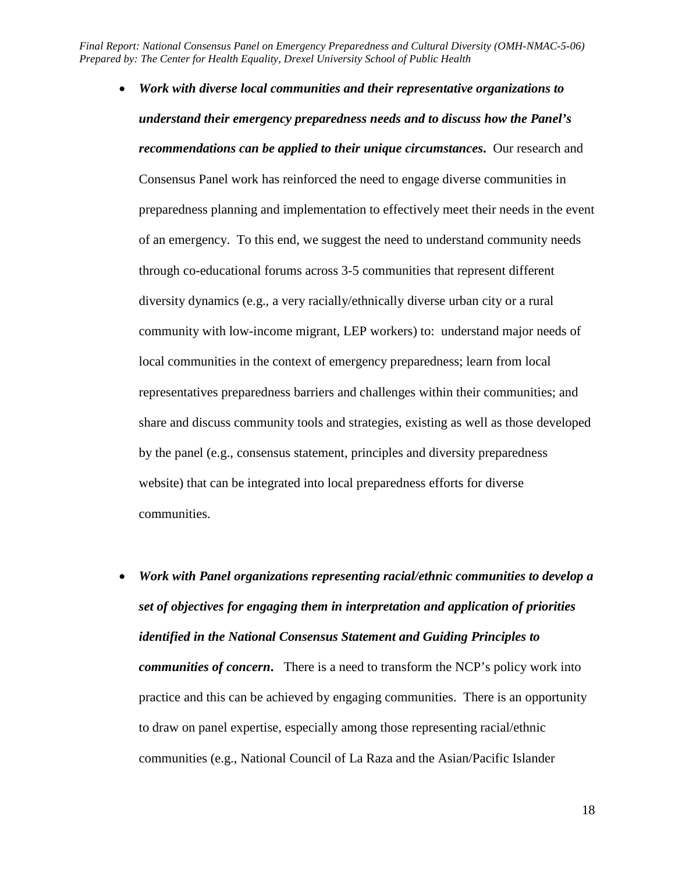- of an emergency. To this end, we suggest the need to understand community needs community with low-income migrant, LEP workers) to: understand major needs of • *Work with diverse local communities and their representative organizations to understand their emergency preparedness needs and to discuss how the Panel's recommendations can be applied to their unique circumstances***.** Our research and Consensus Panel work has reinforced the need to engage diverse communities in preparedness planning and implementation to effectively meet their needs in the event through co-educational forums across 3-5 communities that represent different diversity dynamics (e.g., a very racially/ethnically diverse urban city or a rural local communities in the context of emergency preparedness; learn from local representatives preparedness barriers and challenges within their communities; and share and discuss community tools and strategies, existing as well as those developed by the panel (e.g., consensus statement, principles and diversity preparedness website) that can be integrated into local preparedness efforts for diverse communities.
- communities (e.g., National Council of La Raza and the Asian/Pacific Islander • *Work with Panel organizations representing racial/ethnic communities to develop a set of objectives for engaging them in interpretation and application of priorities identified in the National Consensus Statement and Guiding Principles to communities of concern***.** There is a need to transform the NCP's policy work into practice and this can be achieved by engaging communities. There is an opportunity to draw on panel expertise, especially among those representing racial/ethnic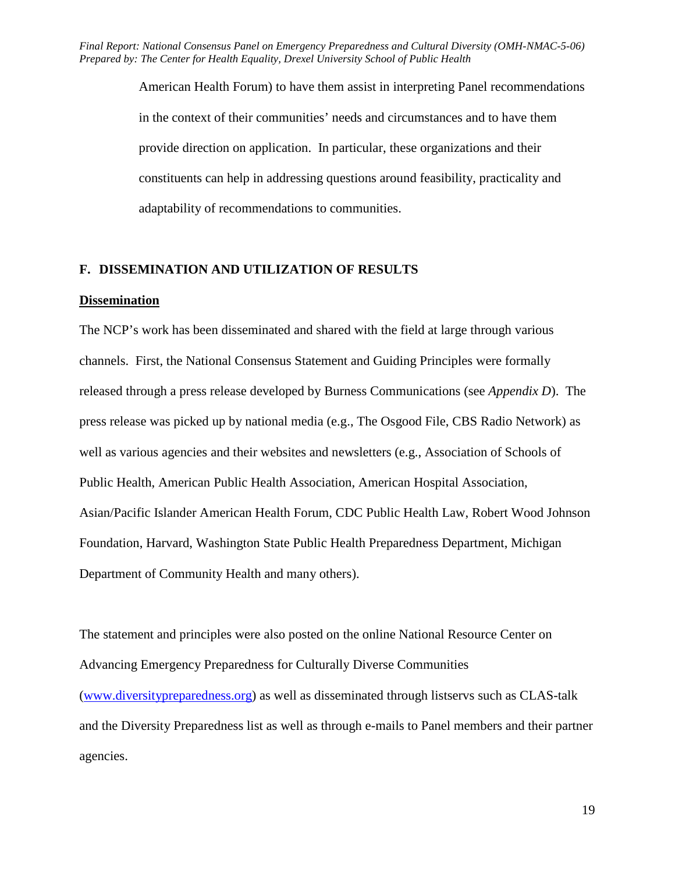> American Health Forum) to have them assist in interpreting Panel recommendations in the context of their communities' needs and circumstances and to have them provide direction on application. In particular, these organizations and their constituents can help in addressing questions around feasibility, practicality and adaptability of recommendations to communities.

#### **F. DISSEMINATION AND UTILIZATION OF RESULTS**

#### **Dissemination**

 channels. First, the National Consensus Statement and Guiding Principles were formally press release was picked up by national media (e.g., The Osgood File, CBS Radio Network) as The NCP's work has been disseminated and shared with the field at large through various released through a press release developed by Burness Communications (see *Appendix D*). The well as various agencies and their websites and newsletters (e.g., Association of Schools of Public Health, American Public Health Association, American Hospital Association, Asian/Pacific Islander American Health Forum, CDC Public Health Law, Robert Wood Johnson Foundation, Harvard, Washington State Public Health Preparedness Department, Michigan Department of Community Health and many others).

The statement and principles were also posted on the online National Resource Center on Advancing Emergency Preparedness for Culturally Diverse Communities [\(www.diversitypreparedness.org\)](http://www.diversitypreparedness.org/) as well as disseminated through listservs such as CLAS-talk and the Diversity Preparedness list as well as through e-mails to Panel members and their partner agencies.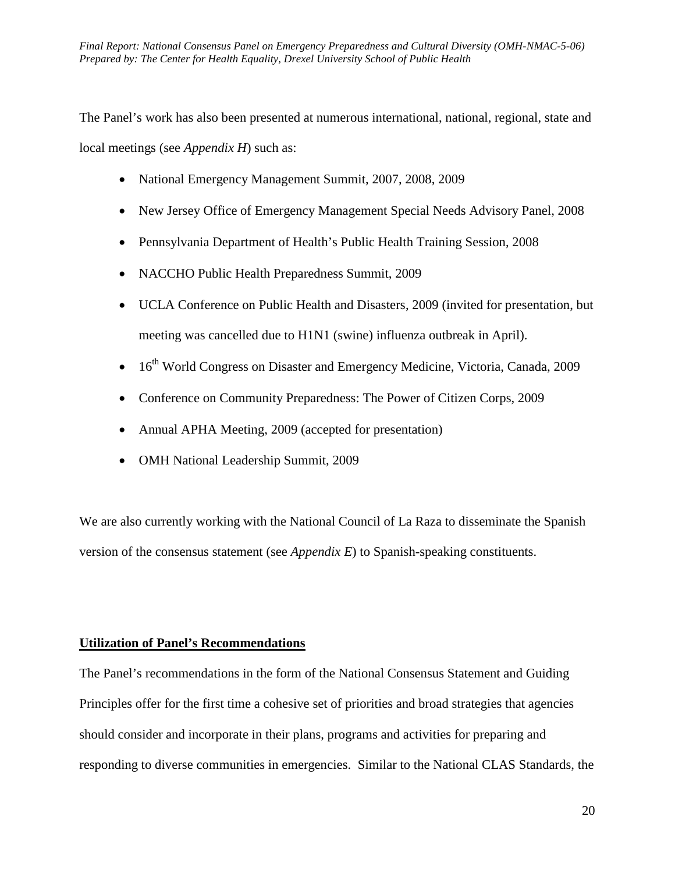local meetings (see *Appendix H*) such as: The Panel's work has also been presented at numerous international, national, regional, state and

- National Emergency Management Summit, 2007, 2008, 2009
- New Jersey Office of Emergency Management Special Needs Advisory Panel, 2008
- Pennsylvania Department of Health's Public Health Training Session, 2008
- NACCHO Public Health Preparedness Summit, 2009
- UCLA Conference on Public Health and Disasters, 2009 (invited for presentation, but meeting was cancelled due to H1N1 (swine) influenza outbreak in April).
- 16<sup>th</sup> World Congress on Disaster and Emergency Medicine, Victoria, Canada, 2009
- Conference on Community Preparedness: The Power of Citizen Corps, 2009
- Annual APHA Meeting, 2009 (accepted for presentation)
- • OMH National Leadership Summit, 2009

We are also currently working with the National Council of La Raza to disseminate the Spanish version of the consensus statement (see *Appendix E*) to Spanish-speaking constituents.

## **Utilization of Panel's Recommendations**

The Panel's recommendations in the form of the National Consensus Statement and Guiding Principles offer for the first time a cohesive set of priorities and broad strategies that agencies should consider and incorporate in their plans, programs and activities for preparing and responding to diverse communities in emergencies. Similar to the National CLAS Standards, the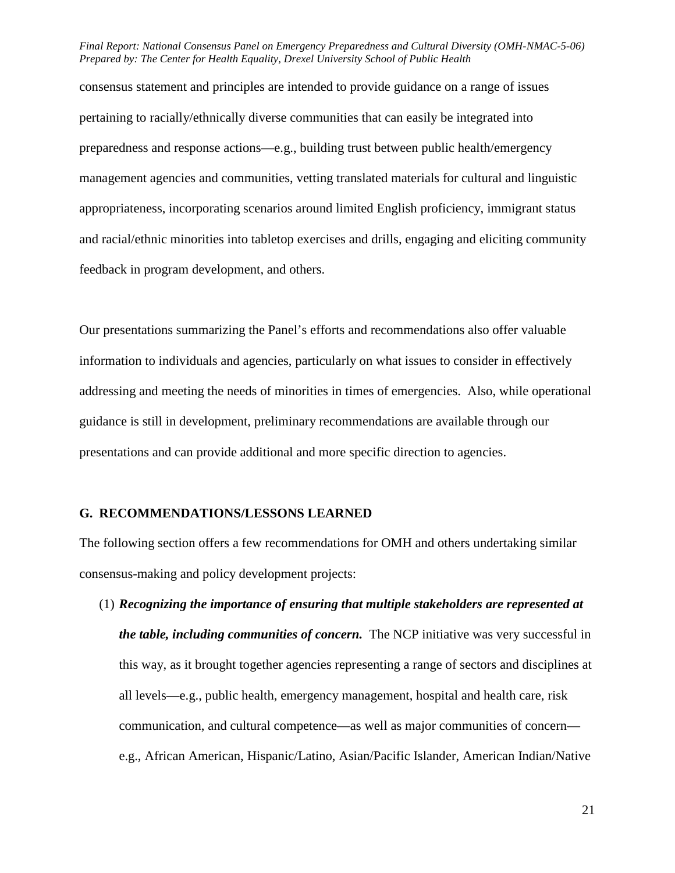consensus statement and principles are intended to provide guidance on a range of issues pertaining to racially/ethnically diverse communities that can easily be integrated into preparedness and response actions—e.g., building trust between public health/emergency management agencies and communities, vetting translated materials for cultural and linguistic appropriateness, incorporating scenarios around limited English proficiency, immigrant status and racial/ethnic minorities into tabletop exercises and drills, engaging and eliciting community feedback in program development, and others.

Our presentations summarizing the Panel's efforts and recommendations also offer valuable information to individuals and agencies, particularly on what issues to consider in effectively addressing and meeting the needs of minorities in times of emergencies. Also, while operational guidance is still in development, preliminary recommendations are available through our presentations and can provide additional and more specific direction to agencies.

#### **G. RECOMMENDATIONS/LESSONS LEARNED**

The following section offers a few recommendations for OMH and others undertaking similar consensus-making and policy development projects:

 *the table, including communities of concern.* The NCP initiative was very successful in (1) *Recognizing the importance of ensuring that multiple stakeholders are represented at*  this way, as it brought together agencies representing a range of sectors and disciplines at all levels—e.g., public health, emergency management, hospital and health care, risk communication, and cultural competence—as well as major communities of concern e.g., African American, Hispanic/Latino, Asian/Pacific Islander, American Indian/Native

21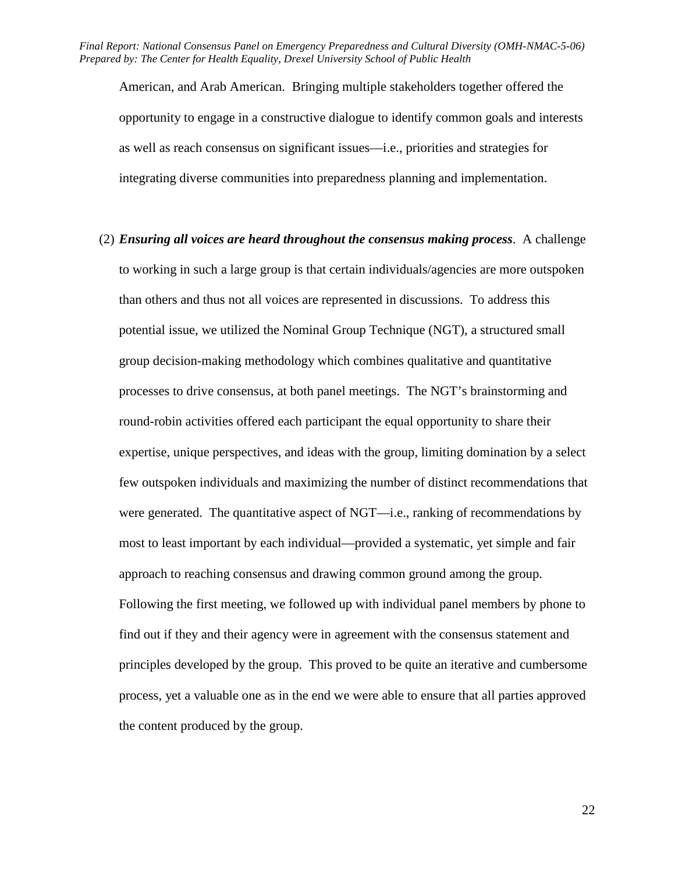American, and Arab American. Bringing multiple stakeholders together offered the opportunity to engage in a constructive dialogue to identify common goals and interests as well as reach consensus on significant issues—i.e., priorities and strategies for integrating diverse communities into preparedness planning and implementation.

 find out if they and their agency were in agreement with the consensus statement and (2) *Ensuring all voices are heard throughout the consensus making process*. A challenge to working in such a large group is that certain individuals/agencies are more outspoken than others and thus not all voices are represented in discussions. To address this potential issue, we utilized the Nominal Group Technique (NGT), a structured small group decision-making methodology which combines qualitative and quantitative processes to drive consensus, at both panel meetings. The NGT's brainstorming and round-robin activities offered each participant the equal opportunity to share their expertise, unique perspectives, and ideas with the group, limiting domination by a select few outspoken individuals and maximizing the number of distinct recommendations that were generated. The quantitative aspect of NGT—i.e., ranking of recommendations by most to least important by each individual—provided a systematic, yet simple and fair approach to reaching consensus and drawing common ground among the group. Following the first meeting, we followed up with individual panel members by phone to principles developed by the group. This proved to be quite an iterative and cumbersome process, yet a valuable one as in the end we were able to ensure that all parties approved the content produced by the group.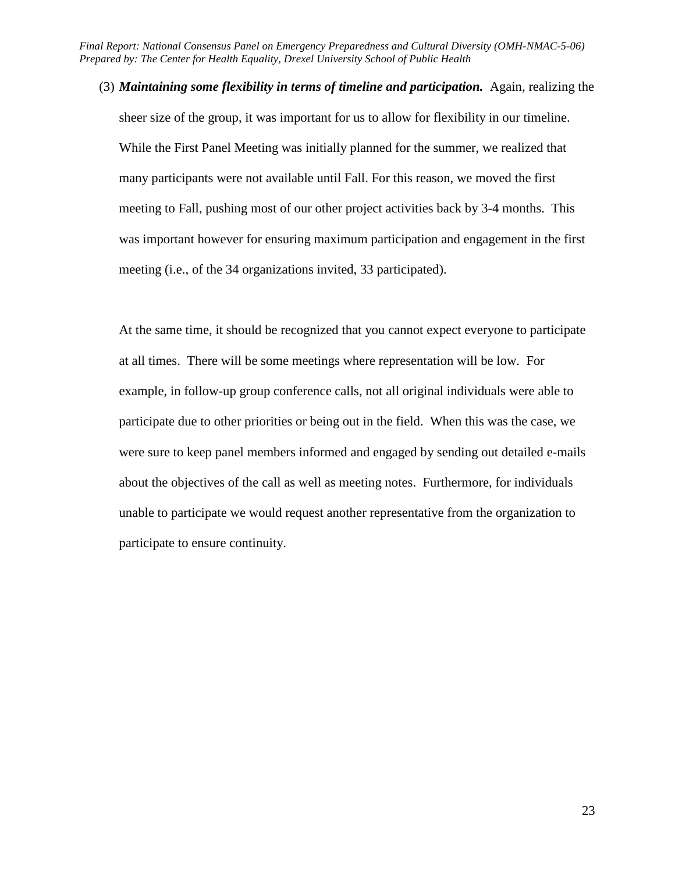(3) *Maintaining some flexibility in terms of timeline and participation.* Again, realizing the sheer size of the group, it was important for us to allow for flexibility in our timeline. While the First Panel Meeting was initially planned for the summer, we realized that many participants were not available until Fall. For this reason, we moved the first meeting to Fall, pushing most of our other project activities back by 3-4 months. This was important however for ensuring maximum participation and engagement in the first meeting (i.e., of the 34 organizations invited, 33 participated).

 unable to participate we would request another representative from the organization to At the same time, it should be recognized that you cannot expect everyone to participate at all times. There will be some meetings where representation will be low. For example, in follow-up group conference calls, not all original individuals were able to participate due to other priorities or being out in the field. When this was the case, we were sure to keep panel members informed and engaged by sending out detailed e-mails about the objectives of the call as well as meeting notes. Furthermore, for individuals participate to ensure continuity.